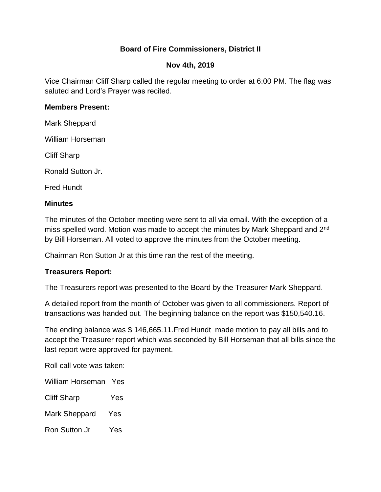# **Board of Fire Commissioners, District II**

### **Nov 4th, 2019**

Vice Chairman Cliff Sharp called the regular meeting to order at 6:00 PM. The flag was saluted and Lord's Prayer was recited.

#### **Members Present:**

Mark Sheppard

William Horseman

Cliff Sharp

Ronald Sutton Jr.

Fred Hundt

## **Minutes**

The minutes of the October meeting were sent to all via email. With the exception of a miss spelled word. Motion was made to accept the minutes by Mark Sheppard and 2<sup>nd</sup> by Bill Horseman. All voted to approve the minutes from the October meeting.

Chairman Ron Sutton Jr at this time ran the rest of the meeting.

## **Treasurers Report:**

The Treasurers report was presented to the Board by the Treasurer Mark Sheppard.

A detailed report from the month of October was given to all commissioners. Report of transactions was handed out. The beginning balance on the report was \$150,540.16.

The ending balance was \$ 146,665.11.Fred Hundt made motion to pay all bills and to accept the Treasurer report which was seconded by Bill Horseman that all bills since the last report were approved for payment.

Roll call vote was taken:

William Horseman Yes

- Cliff Sharp Yes
- Mark Sheppard Yes
- Ron Sutton Jr Yes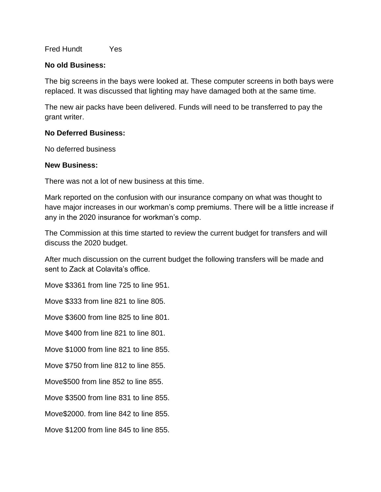Fred Hundt Yes

#### **No old Business:**

The big screens in the bays were looked at. These computer screens in both bays were replaced. It was discussed that lighting may have damaged both at the same time.

The new air packs have been delivered. Funds will need to be transferred to pay the grant writer.

## **No Deferred Business:**

No deferred business

#### **New Business:**

There was not a lot of new business at this time.

Mark reported on the confusion with our insurance company on what was thought to have major increases in our workman's comp premiums. There will be a little increase if any in the 2020 insurance for workman's comp.

The Commission at this time started to review the current budget for transfers and will discuss the 2020 budget.

After much discussion on the current budget the following transfers will be made and sent to Zack at Colavita's office.

Move \$3361 from line 725 to line 951.

Move \$333 from line 821 to line 805.

Move \$3600 from line 825 to line 801.

Move \$400 from line 821 to line 801.

Move \$1000 from line 821 to line 855.

Move \$750 from line 812 to line 855.

Move\$500 from line 852 to line 855.

Move \$3500 from line 831 to line 855.

Move\$2000. from line 842 to line 855.

Move \$1200 from line 845 to line 855.